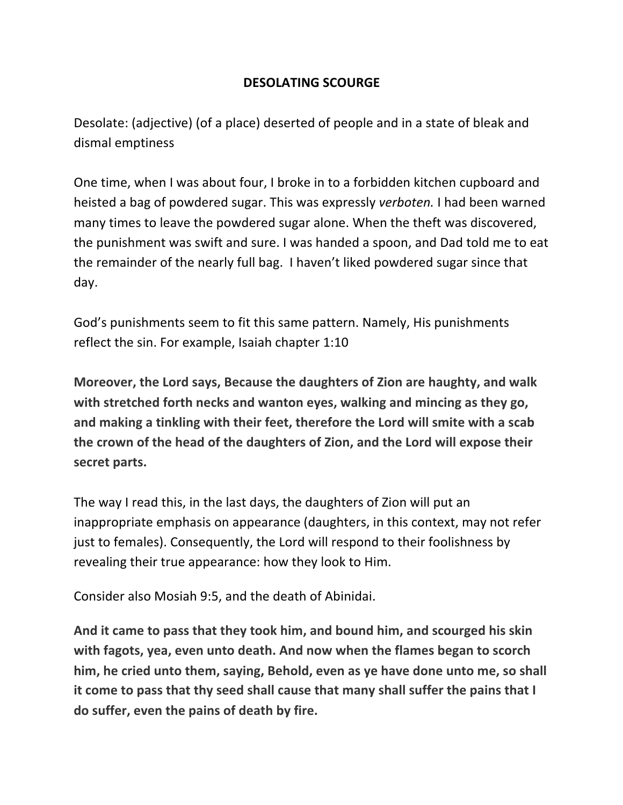## **DESOLATING SCOURGE**

Desolate: (adjective) (of a place) deserted of people and in a state of bleak and dismal emptiness

One time, when I was about four, I broke in to a forbidden kitchen cupboard and heisted a bag of powdered sugar. This was expressly *verboten.* I had been warned many times to leave the powdered sugar alone. When the theft was discovered, the punishment was swift and sure. I was handed a spoon, and Dad told me to eat the remainder of the nearly full bag. I haven't liked powdered sugar since that day.

God's punishments seem to fit this same pattern. Namely, His punishments reflect the sin. For example, Isaiah chapter 1:10

**Moreover, the Lord says, Because the daughters of Zion are haughty, and walk with stretched forth necks and wanton eyes, walking and mincing as they go, and making a tinkling with their feet, therefore the Lord will smite with a scab the crown of the head of the daughters of Zion, and the Lord will expose their secret parts.**

The way I read this, in the last days, the daughters of Zion will put an inappropriate emphasis on appearance (daughters, in this context, may not refer just to females). Consequently, the Lord will respond to their foolishness by revealing their true appearance: how they look to Him.

Consider also Mosiah 9:5, and the death of Abinidai.

**And it came to pass that they took him, and bound him, and scourged his skin with fagots, yea, even unto death. And now when the flames began to scorch him, he cried unto them, saying, Behold, even as ye have done unto me, so shall it come to pass that thy seed shall cause that many shall suffer the pains that I do suffer, even the pains of death by fire.**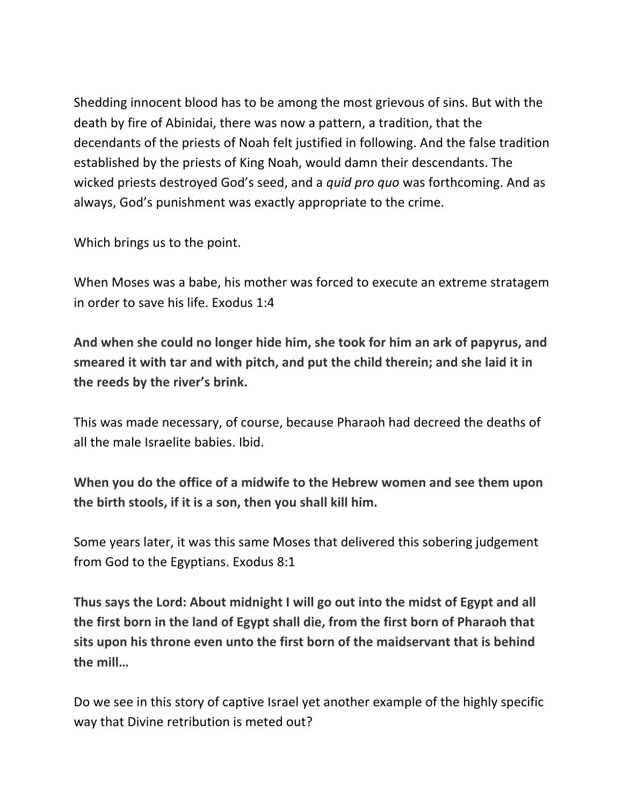Shedding innocent blood has to be among the most grievous of sins. But with the death by fire of Abinidai, there was now a pattern, a tradition, that the decendants of the priests of Noah felt justified in following. And the false tradition established by the priests of King Noah, would damn their descendants. The wicked priests destroyed God's seed, and a *quid pro quo* was forthcoming. And as always, God's punishment was exactly appropriate to the crime.

Which brings us to the point.

When Moses was a babe, his mother was forced to execute an extreme stratagem in order to save his life. Exodus 1:4

**And when she could no longer hide him, she took for him an ark of papyrus, and smeared it with tar and with pitch, and put the child therein; and she laid it in the reeds by the river's brink.**

This was made necessary, of course, because Pharaoh had decreed the deaths of all the male Israelite babies. Ibid.

**When you do the office of a midwife to the Hebrew women and see them upon the birth stools, if it is a son, then you shall kill him.**

Some years later, it was this same Moses that delivered this sobering judgement from God to the Egyptians. Exodus 8:1

**Thus says the Lord: About midnight I will go out into the midst of Egypt and all the first born in the land of Egypt shall die, from the first born of Pharaoh that sits upon his throne even unto the first born of the maidservant that is behind the mill…**

Do we see in this story of captive Israel yet another example of the highly specific way that Divine retribution is meted out?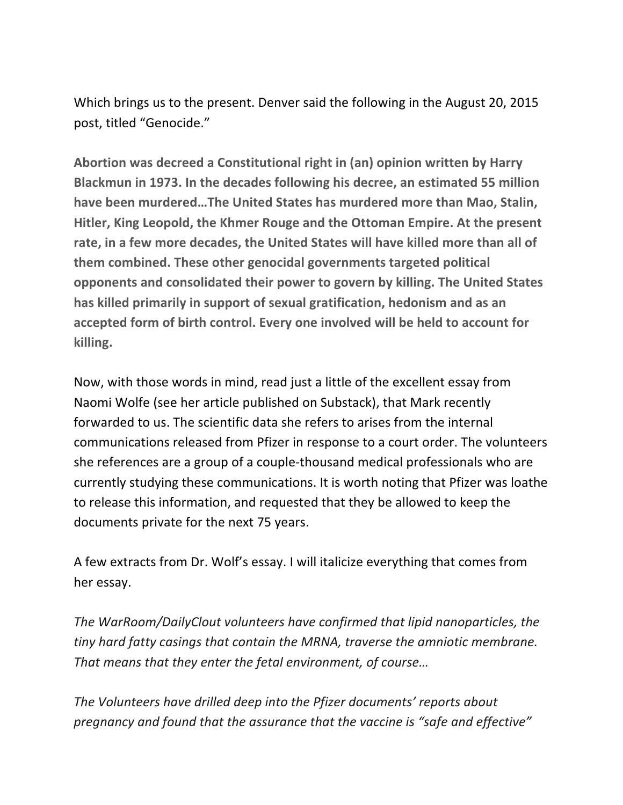Which brings us to the present. Denver said the following in the August 20, 2015 post, titled "Genocide."

**Abortion was decreed a Constitutional right in (an) opinion written by Harry Blackmun in 1973. In the decades following his decree, an estimated 55 million have been murdered…The United States has murdered more than Mao, Stalin, Hitler, King Leopold, the Khmer Rouge and the Ottoman Empire. At the present rate, in a few more decades, the United States will have killed more than all of them combined. These other genocidal governments targeted political opponents and consolidated their power to govern by killing. The United States has killed primarily in support of sexual gratification, hedonism and as an accepted form of birth control. Every one involved will be held to account for killing.**

Now, with those words in mind, read just a little of the excellent essay from Naomi Wolfe (see her article published on Substack), that Mark recently forwarded to us. The scientific data she refers to arises from the internal communications released from Pfizer in response to a court order. The volunteers she references are a group of a couple-thousand medical professionals who are currently studying these communications. It is worth noting that Pfizer was loathe to release this information, and requested that they be allowed to keep the documents private for the next 75 years.

A few extracts from Dr. Wolf's essay. I will italicize everything that comes from her essay.

*The WarRoom/DailyClout volunteers have confirmed that lipid nanoparticles, the tiny hard fatty casings that contain the MRNA, traverse the amniotic membrane. That means that they enter the fetal environment, of course…*

*The Volunteers have drilled deep into the Pfizer documents' reports about pregnancy and found that the assurance that the vaccine is "safe and effective"*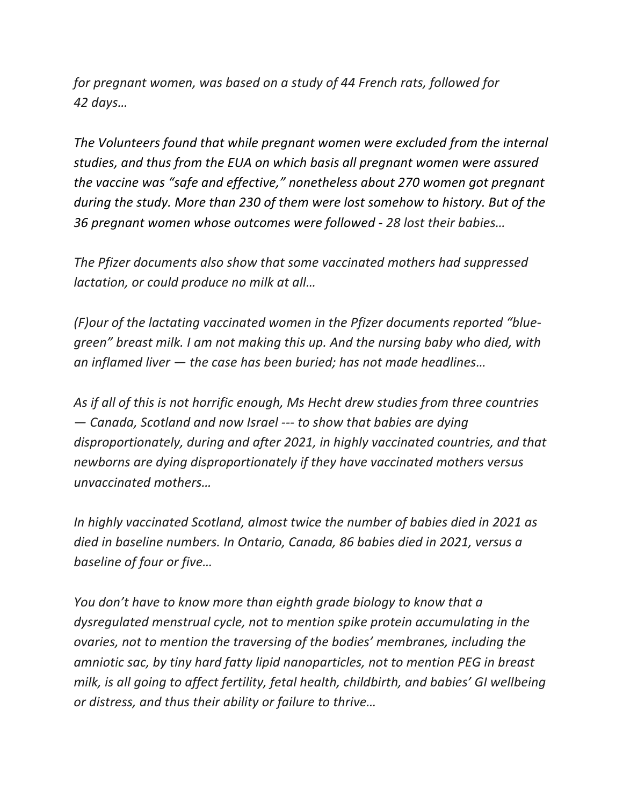*for pregnant women, was based on a study of 44 French rats, followed for 42 days…*

*The Volunteers found that while pregnant women were excluded from the internal studies, and thus from the EUA on which basis all pregnant women were assured the vaccine was "safe and effective," nonetheless about 270 women got pregnant during the study. More than 230 of them were lost somehow to history. But of the 36 pregnant women whose outcomes were followed - 28 lost their babies…*

*The Pfizer documents also show that some vaccinated mothers had suppressed lactation, or could produce no milk at all…*

*(F)our of the lactating vaccinated women in the Pfizer documents reported "bluegreen" breast milk. I am not making this up. And the nursing baby who died, with an inflamed liver — the case has been buried; has not made headlines…*

*As if all of this is not horrific enough, Ms Hecht drew studies from three countries — Canada, Scotland and now Israel --- to show that babies are dying disproportionately, during and after 2021, in highly vaccinated countries, and that newborns are dying disproportionately if they have vaccinated mothers versus unvaccinated mothers…*

*In highly vaccinated Scotland, almost twice the number of babies died in 2021 as died in baseline numbers. In Ontario, Canada, 86 babies died in 2021, versus a baseline of four or five…*

*You don't have to know more than eighth grade biology to know that a dysregulated menstrual cycle, not to mention spike protein accumulating in the ovaries, not to mention the traversing of the bodies' membranes, including the amniotic sac, by tiny hard fatty lipid nanoparticles, not to mention PEG in breast milk, is all going to affect fertility, fetal health, childbirth, and babies' GI wellbeing or distress, and thus their ability or failure to thrive…*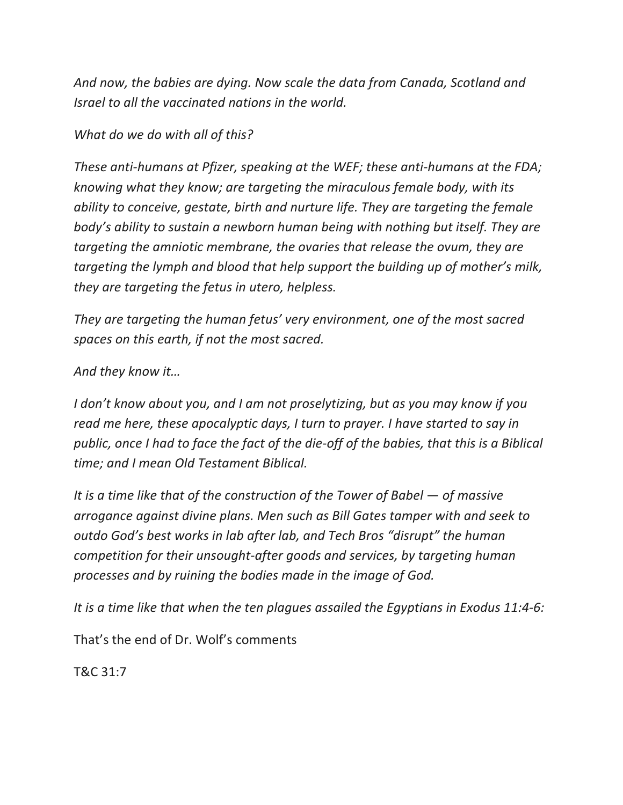*And now, the babies are dying. Now scale the data from Canada, Scotland and Israel to all the vaccinated nations in the world.*

## *What do we do with all of this?*

*These anti-humans at Pfizer, speaking at the WEF; these anti-humans at the FDA; knowing what they know; are targeting the miraculous female body, with its ability to conceive, gestate, birth and nurture life. They are targeting the female body's ability to sustain a newborn human being with nothing but itself. They are targeting the amniotic membrane, the ovaries that release the ovum, they are targeting the lymph and blood that help support the building up of mother's milk, they are targeting the fetus in utero, helpless.*

*They are targeting the human fetus' very environment, one of the most sacred spaces on this earth, if not the most sacred.*

## *And they know it…*

*I don't know about you, and I am not proselytizing, but as you may know if you read me here, these apocalyptic days, I turn to prayer. I have started to say in public, once I had to face the fact of the die-off of the babies, that this is a Biblical time; and I mean Old Testament Biblical.*

*It is a time like that of the construction of the Tower of Babel — of massive arrogance against divine plans. Men such as Bill Gates tamper with and seek to outdo God's best works in lab after lab, and Tech Bros "disrupt" the human competition for their unsought-after goods and services, by targeting human processes and by ruining the bodies made in the image of God.*

*It is a time like that when the ten plagues assailed the Egyptians in Exodus 11:4-6:*

That's the end of Dr. Wolf's comments

T&C 31:7